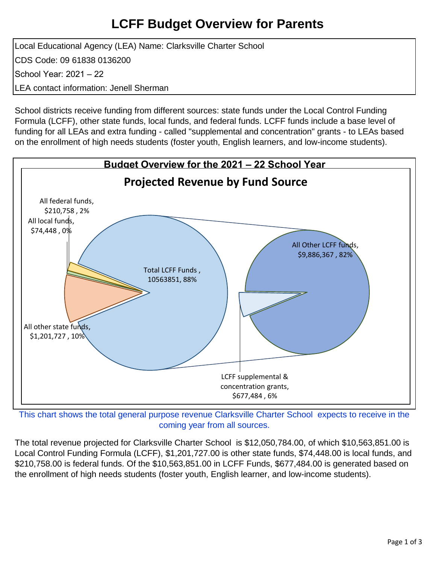### **LCFF Budget Overview for Parents**

Local Educational Agency (LEA) Name: Clarksville Charter School CDS Code: 09 61838 0136200 School Year: 2021 – 22 LEA contact information: Jenell Sherman

School districts receive funding from different sources: state funds under the Local Control Funding Formula (LCFF), other state funds, local funds, and federal funds. LCFF funds include a base level of funding for all LEAs and extra funding - called "supplemental and concentration" grants - to LEAs based on the enrollment of high needs students (foster youth, English learners, and low-income students).



This chart shows the total general purpose revenue Clarksville Charter School expects to receive in the coming year from all sources.

The total revenue projected for Clarksville Charter School is \$12,050,784.00, of which \$10,563,851.00 is Local Control Funding Formula (LCFF), \$1,201,727.00 is other state funds, \$74,448.00 is local funds, and \$210,758.00 is federal funds. Of the \$10,563,851.00 in LCFF Funds, \$677,484.00 is generated based on the enrollment of high needs students (foster youth, English learner, and low-income students).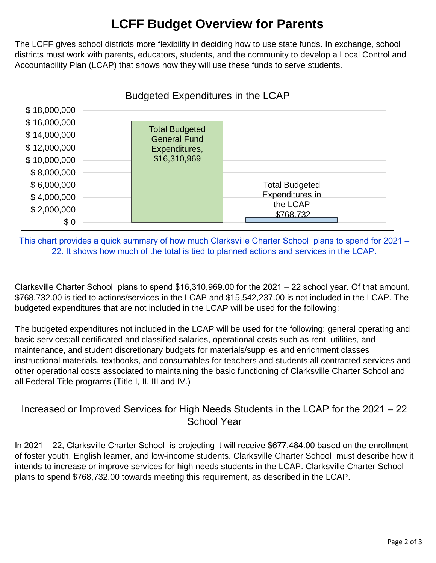# **LCFF Budget Overview for Parents**

The LCFF gives school districts more flexibility in deciding how to use state funds. In exchange, school districts must work with parents, educators, students, and the community to develop a Local Control and Accountability Plan (LCAP) that shows how they will use these funds to serve students.



This chart provides a quick summary of how much Clarksville Charter School plans to spend for 2021 – 22. It shows how much of the total is tied to planned actions and services in the LCAP.

Clarksville Charter School plans to spend \$16,310,969.00 for the 2021 – 22 school year. Of that amount, \$768,732.00 is tied to actions/services in the LCAP and \$15,542,237.00 is not included in the LCAP. The budgeted expenditures that are not included in the LCAP will be used for the following:

The budgeted expenditures not included in the LCAP will be used for the following: general operating and basic services;all certificated and classified salaries, operational costs such as rent, utilities, and maintenance, and student discretionary budgets for materials/supplies and enrichment classes instructional materials, textbooks, and consumables for teachers and students;all contracted services and other operational costs associated to maintaining the basic functioning of Clarksville Charter School and all Federal Title programs (Title I, II, III and IV.)

### Increased or Improved Services for High Needs Students in the LCAP for the 2021 – 22 School Year

In 2021 – 22, Clarksville Charter School is projecting it will receive \$677,484.00 based on the enrollment of foster youth, English learner, and low-income students. Clarksville Charter School must describe how it intends to increase or improve services for high needs students in the LCAP. Clarksville Charter School plans to spend \$768,732.00 towards meeting this requirement, as described in the LCAP.